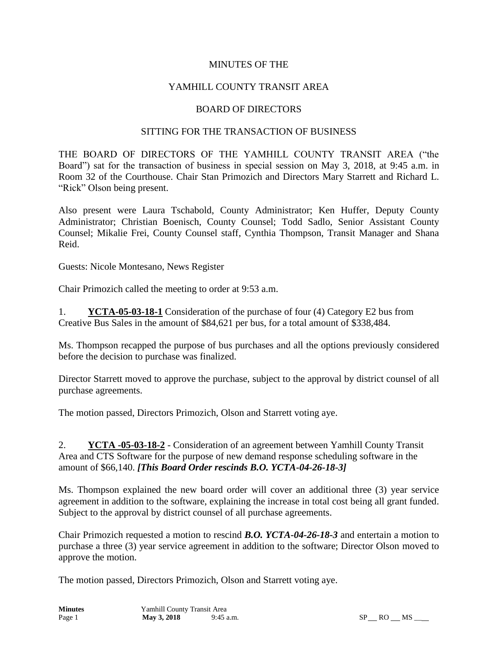### MINUTES OF THE

## YAMHILL COUNTY TRANSIT AREA

#### BOARD OF DIRECTORS

#### SITTING FOR THE TRANSACTION OF BUSINESS

THE BOARD OF DIRECTORS OF THE YAMHILL COUNTY TRANSIT AREA ("the Board") sat for the transaction of business in special session on May 3, 2018, at 9:45 a.m. in Room 32 of the Courthouse. Chair Stan Primozich and Directors Mary Starrett and Richard L. "Rick" Olson being present.

Also present were Laura Tschabold, County Administrator; Ken Huffer, Deputy County Administrator; Christian Boenisch, County Counsel; Todd Sadlo, Senior Assistant County Counsel; Mikalie Frei, County Counsel staff, Cynthia Thompson, Transit Manager and Shana Reid.

Guests: Nicole Montesano, News Register

Chair Primozich called the meeting to order at 9:53 a.m.

1. **YCTA-05-03-18-1** Consideration of the purchase of four (4) Category E2 bus from Creative Bus Sales in the amount of \$84,621 per bus, for a total amount of \$338,484.

Ms. Thompson recapped the purpose of bus purchases and all the options previously considered before the decision to purchase was finalized.

Director Starrett moved to approve the purchase, subject to the approval by district counsel of all purchase agreements.

The motion passed, Directors Primozich, Olson and Starrett voting aye.

2. **YCTA -05-03-18-2** - Consideration of an agreement between Yamhill County Transit Area and CTS Software for the purpose of new demand response scheduling software in the amount of \$66,140. *[This Board Order rescinds B.O. YCTA-04-26-18-3]*

Ms. Thompson explained the new board order will cover an additional three (3) year service agreement in addition to the software, explaining the increase in total cost being all grant funded. Subject to the approval by district counsel of all purchase agreements.

Chair Primozich requested a motion to rescind *B.O. YCTA-04-26-18-3* and entertain a motion to purchase a three (3) year service agreement in addition to the software; Director Olson moved to approve the motion.

The motion passed, Directors Primozich, Olson and Starrett voting aye.